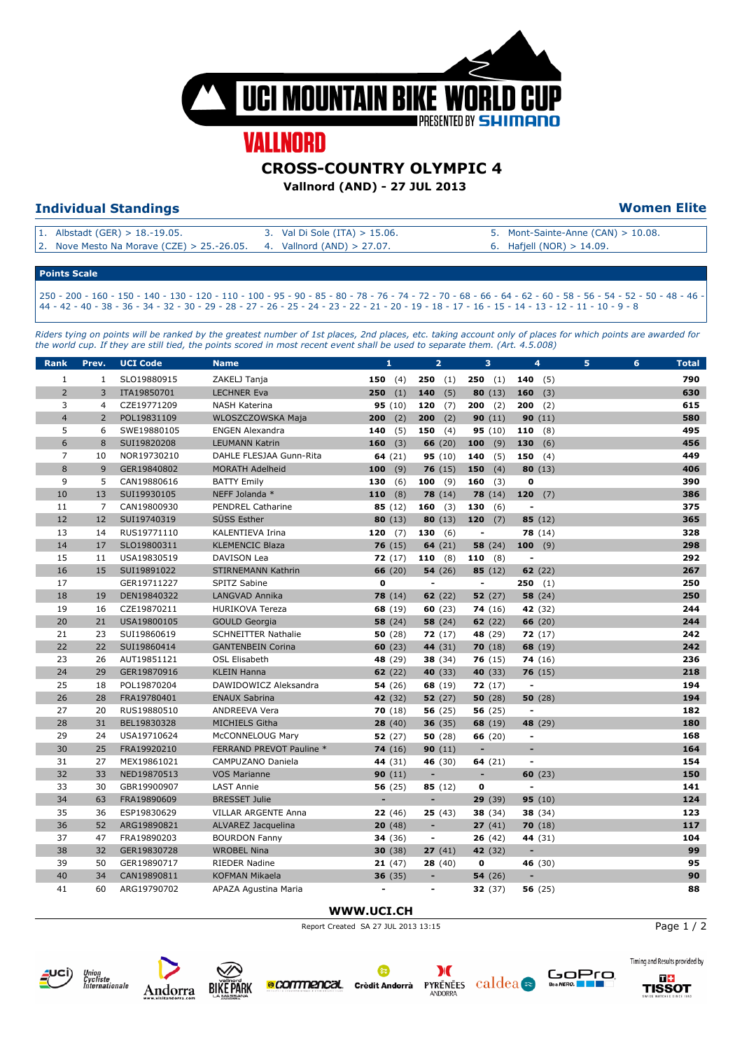

# **VALLNORD**

#### **CROSS-COUNTRY OLYMPIC 4**

**Vallnord (AND) - 27 JUL 2013** 

### **Individual Standings Women Elite**

| 1. Albstadt (GER) > $18.-19.05$ .                                     | 3. Val Di Sole (ITA) $> 15.06$ . | 5. Mont-Sainte-Anne $(CAN) > 10.08$ . |
|-----------------------------------------------------------------------|----------------------------------|---------------------------------------|
| 2. Nove Mesto Na Morave (CZE) > 25.-26.05. 4. Vallnord (AND) > 27.07. |                                  | 6. Hafjell (NOR) $> 14.09$ .          |
|                                                                       |                                  |                                       |

#### **Points Scale**

250 - 200 - 160 - 150 - 140 - 130 - 120 - 110 - 100 - 95 - 90 - 85 - 80 - 78 - 76 - 74 - 72 - 70 - 68 - 66 - 64 - 62 - 60 - 58 - 56 - 54 - 52 - 50 - 48 - 46 - 44 - 42 - 40 - 38 - 36 - 34 - 32 - 30 - 29 - 28 - 27 - 26 - 25 - 24 - 23 - 22 - 21 - 20 - 19 - 18 - 17 - 16 - 15 - 14 - 13 - 12 - 11 - 10 - 9 - 8

*Riders tying on points will be ranked by the greatest number of 1st places, 2nd places, etc. taking account only of places for which points are awarded for the world cup. If they are still tied, the points scored in most recent event shall be used to separate them. (Art. 4.5.008)*

| <b>Rank</b>    | Prev.          | <b>UCI Code</b> | <b>Name</b>                | $\mathbf{1}$   | $\overline{2}$           | 3                        | 4                        | 5 | 6 | <b>Total</b> |
|----------------|----------------|-----------------|----------------------------|----------------|--------------------------|--------------------------|--------------------------|---|---|--------------|
| $\mathbf{1}$   | $\mathbf{1}$   | SLO19880915     | ZAKELJ Tanja               | 150 $(4)$      | <b>250</b> $(1)$         | 250(1)                   | 140 $(5)$                |   |   | 790          |
| $\overline{2}$ | 3              | ITA19850701     | <b>LECHNER Eva</b>         | (1)<br>250     | 140<br>(5)               | 80 $(13)$                | 160<br>(3)               |   |   | 630          |
| 3              | $\overline{4}$ | CZE19771209     | <b>NASH Katerina</b>       | 95(10)         | 120<br>(7)               | $200$ (2)                | 200<br>(2)               |   |   | 615          |
| $\overline{4}$ | $\overline{2}$ | POL19831109     | WLOSZCZOWSKA Maja          | 200<br>(2)     | 200<br>(2)               | 90(11)                   | 90(11)                   |   |   | 580          |
| 5              | 6              | SWE19880105     | <b>ENGEN Alexandra</b>     | 140<br>(5)     | 150<br>(4)               | 95 (10)                  | (8)<br>110               |   |   | 495          |
| 6              | 8              | SUI19820208     | <b>LEUMANN Katrin</b>      | 160<br>(3)     | 66(20)                   | 100<br>(9)               | 130<br>(6)               |   |   | 456          |
| $\overline{7}$ | 10             | NOR19730210     | DAHLE FLESJAA Gunn-Rita    | 64 $(21)$      | 95(10)                   | (5)<br>140               | 150<br>(4)               |   |   | 449          |
| 8              | $\overline{9}$ | GER19840802     | MORATH Adelheid            | 100<br>(9)     | 76(15)                   | 150<br>(4)               | 80(13)                   |   |   | 406          |
| 9              | 5              | CAN19880616     | <b>BATTY Emily</b>         | 130<br>(6)     | 100 $(9)$                | 160 $(3)$                | $\mathbf 0$              |   |   | 390          |
| 10             | 13             | SUI19930105     | NEFF Jolanda *             | 110<br>(8)     | 78(14)                   | 78(14)                   | 120<br>(7)               |   |   | 386          |
| 11             | $\overline{7}$ | CAN19800930     | <b>PENDREL Catharine</b>   | 85(12)         | 160 $(3)$                | 130<br>(6)               | ٠                        |   |   | 375          |
| 12             | 12             | SUI19740319     | SÜSS Esther                | 80(13)         | 80(13)                   | 120<br>(7)               | 85 $(12)$                |   |   | 365          |
| 13             | 14             | RUS19771110     | KALENTIEVA Irina           | 120<br>(7)     | 130<br>(6)               | $\overline{\phantom{a}}$ | 78(14)                   |   |   | 328          |
| 14             | 17             | SLO19800311     | <b>KLEMENCIC Blaza</b>     | 76(15)         | 64(21)                   | 58(24)                   | 100<br>(9)               |   |   | 298          |
| 15             | 11             | USA19830519     | <b>DAVISON Lea</b>         | 72(17)         | 110 $(8)$                | 110 $(8)$                | $\overline{a}$           |   |   | 292          |
| 16             | 15             | SUI19891022     | STIRNEMANN Kathrin         | 66(20)         | 54(26)                   | 85(12)                   | 62 $(22)$                |   |   | 267          |
| 17             |                | GER19711227     | SPITZ Sabine               | $\mathbf 0$    | $\overline{\phantom{a}}$ | $\overline{\phantom{a}}$ | 250<br>(1)               |   |   | 250          |
| 18             | 19             | DEN19840322     | LANGVAD Annika             | 78(14)         | 62(22)                   | 52(27)                   | 58(24)                   |   |   | 250          |
| 19             | 16             | CZE19870211     | <b>HURIKOVA Tereza</b>     | 68 (19)        | 60(23)                   | 74(16)                   | 42 (32)                  |   |   | 244          |
| 20             | 21             | USA19800105     | <b>GOULD Georgia</b>       | 58(24)         | 58(24)                   | 62(22)                   | 66 $(20)$                |   |   | 244          |
| 21             | 23             | SUI19860619     | <b>SCHNEITTER Nathalie</b> | 50(28)         | 72(17)                   | 48 (29)                  | 72(17)                   |   |   | 242          |
| 22             | 22             | SUI19860414     | <b>GANTENBEIN Corina</b>   | 60(23)         | 44 (31)                  | 70(18)                   | 68 (19)                  |   |   | 242          |
| 23             | 26             | AUT19851121     | <b>OSL Elisabeth</b>       | 48 (29)        | 38 (34)                  | 76(15)                   | 74(16)                   |   |   | 236          |
| 24             | 29             | GER19870916     | <b>KLEIN Hanna</b>         | 62(22)         | 40 (33)                  | 40 (33)                  | 76(15)                   |   |   | 218          |
| 25             | 18             | POL19870204     | DAWIDOWICZ Aleksandra      | 54(26)         | 68 (19)                  | 72(17)                   | $\blacksquare$           |   |   | 194          |
| 26             | 28             | FRA19780401     | <b>ENAUX Sabrina</b>       | 42 (32)        | 52(27)                   | 50(28)                   | 50(28)                   |   |   | 194          |
| 27             | 20             | RUS19880510     | <b>ANDREEVA Vera</b>       | 70(18)         | 56(25)                   | 56(25)                   | $\overline{\phantom{a}}$ |   |   | 182          |
| 28             | 31             | BEL19830328     | <b>MICHIELS Githa</b>      | 28(40)         | 36(35)                   | 68 (19)                  | 48 (29)                  |   |   | 180          |
| 29             | 24             | USA19710624     | McCONNELOUG Mary           | 52(27)         | 50(28)                   | 66(20)                   | $\overline{\phantom{a}}$ |   |   | 168          |
| 30             | 25             | FRA19920210     | FERRAND PREVOT Pauline *   | 74(16)         | 90(11)                   | $\blacksquare$           | ٠                        |   |   | 164          |
| 31             | 27             | MEX19861021     | CAMPUZANO Daniela          | 44 (31)        | 46 (30)                  | 64 $(21)$                | $\blacksquare$           |   |   | 154          |
| 32             | 33             | NED19870513     | <b>VOS Marianne</b>        | 90(11)         | $\overline{\phantom{a}}$ | $\overline{\phantom{a}}$ | 60(23)                   |   |   | 150          |
| 33             | 30             | GBR19900907     | <b>LAST Annie</b>          | 56(25)         | 85(12)                   | 0                        | ÷                        |   |   | 141          |
| 34             | 63             | FRA19890609     | <b>BRESSET Julie</b>       | ÷,             | ÷,                       | 29(39)                   | 95(10)                   |   |   | 124          |
| 35             | 36             | ESP19830629     | VILLAR ARGENTE Anna        | 22(46)         | 25(43)                   | 38 (34)                  | 38(34)                   |   |   | 123          |
| 36             | 52             | ARG19890821     | ALVAREZ Jacquelina         | 20(48)         | $\blacksquare$           | 27(41)                   | 70(18)                   |   |   | 117          |
| 37             | 47             | FRA19890203     | <b>BOURDON Fanny</b>       | 34 (36)        | $\overline{\phantom{a}}$ | 26(42)                   | 44 (31)                  |   |   | 104          |
| 38             | 32             | GER19830728     | <b>WROBEL Nina</b>         | 30(38)         | 27(41)                   | 42 (32)                  | ٠                        |   |   | 99           |
| 39             | 50             | GER19890717     | RIEDER Nadine              | 21(47)         | 28(40)                   | 0                        | 46 (30)                  |   |   | 95           |
| 40             | 34             | CAN19890811     | <b>KOFMAN Mikaela</b>      | 36(35)         | $\overline{\phantom{m}}$ | 54(26)                   | ٠                        |   |   | 90           |
| 41             | 60             | ARG19790702     | APAZA Agustina Maria       | $\blacksquare$ | $\overline{\phantom{a}}$ | 32(37)                   | 56(25)                   |   |   | 88           |

#### **WWW.UCI.CH**



Page 1 / 2







**e COMMENCal** Crèdit Andorrà



**PYRENEES** Caldea